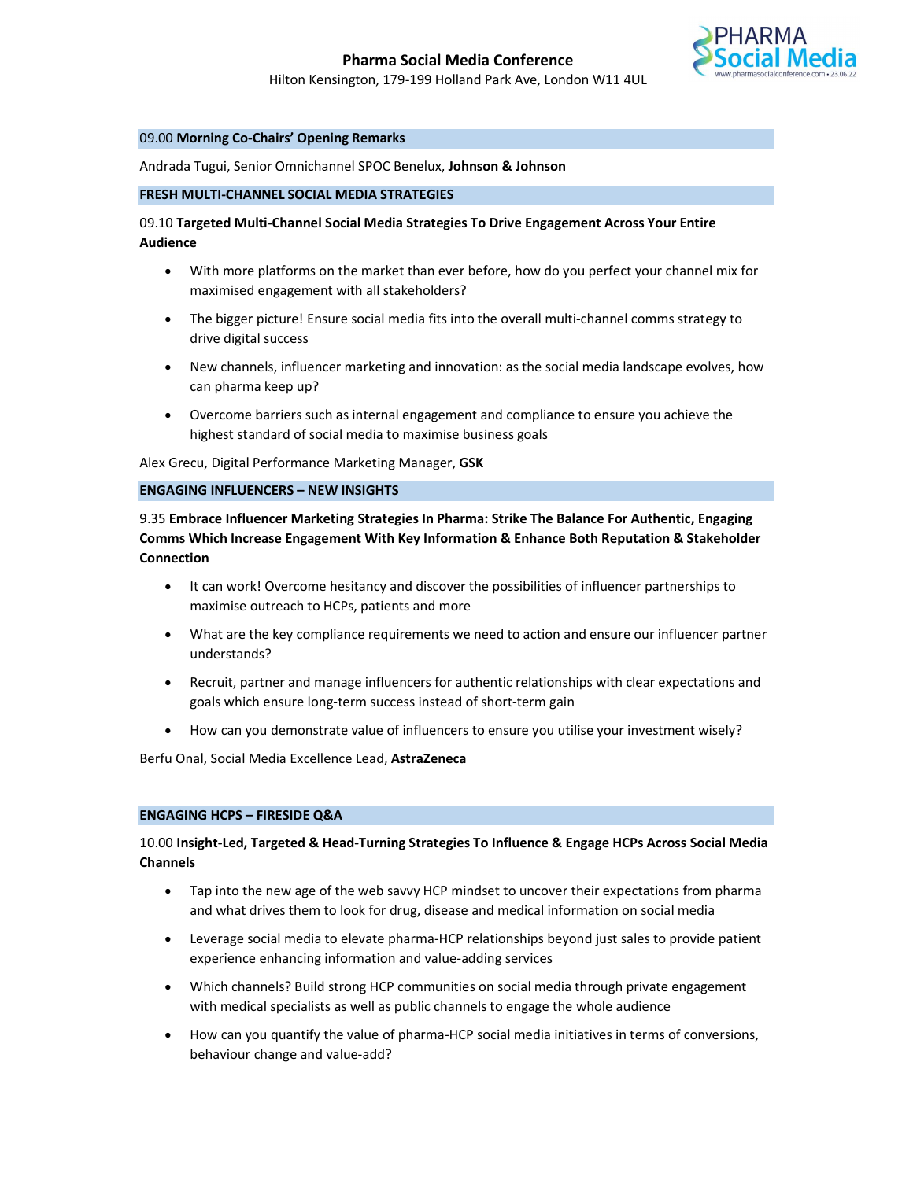

Hilton Kensington, 179-199 Holland Park Ave, London W11 4UL

### 09.00 Morning Co-Chairs' Opening Remarks

Andrada Tugui, Senior Omnichannel SPOC Benelux, Johnson & Johnson

#### FRESH MULTI-CHANNEL SOCIAL MEDIA STRATEGIES

# 09.10 Targeted Multi-Channel Social Media Strategies To Drive Engagement Across Your Entire Audience

- With more platforms on the market than ever before, how do you perfect your channel mix for maximised engagement with all stakeholders?
- The bigger picture! Ensure social media fits into the overall multi-channel comms strategy to drive digital success
- New channels, influencer marketing and innovation: as the social media landscape evolves, how can pharma keep up?
- Overcome barriers such as internal engagement and compliance to ensure you achieve the highest standard of social media to maximise business goals

Alex Grecu, Digital Performance Marketing Manager, GSK

ENGAGING INFLUENCERS – NEW INSIGHTS

9.35 Embrace Influencer Marketing Strategies In Pharma: Strike The Balance For Authentic, Engaging Comms Which Increase Engagement With Key Information & Enhance Both Reputation & Stakeholder Connection

- It can work! Overcome hesitancy and discover the possibilities of influencer partnerships to maximise outreach to HCPs, patients and more
- What are the key compliance requirements we need to action and ensure our influencer partner understands?
- Recruit, partner and manage influencers for authentic relationships with clear expectations and goals which ensure long-term success instead of short-term gain
- How can you demonstrate value of influencers to ensure you utilise your investment wisely?

Berfu Onal, Social Media Excellence Lead, AstraZeneca

### ENGAGING HCPS – FIRESIDE Q&A

# 10.00 Insight-Led, Targeted & Head-Turning Strategies To Influence & Engage HCPs Across Social Media Channels

- Tap into the new age of the web savvy HCP mindset to uncover their expectations from pharma and what drives them to look for drug, disease and medical information on social media
- Leverage social media to elevate pharma-HCP relationships beyond just sales to provide patient experience enhancing information and value-adding services
- Which channels? Build strong HCP communities on social media through private engagement with medical specialists as well as public channels to engage the whole audience
- How can you quantify the value of pharma-HCP social media initiatives in terms of conversions, behaviour change and value-add?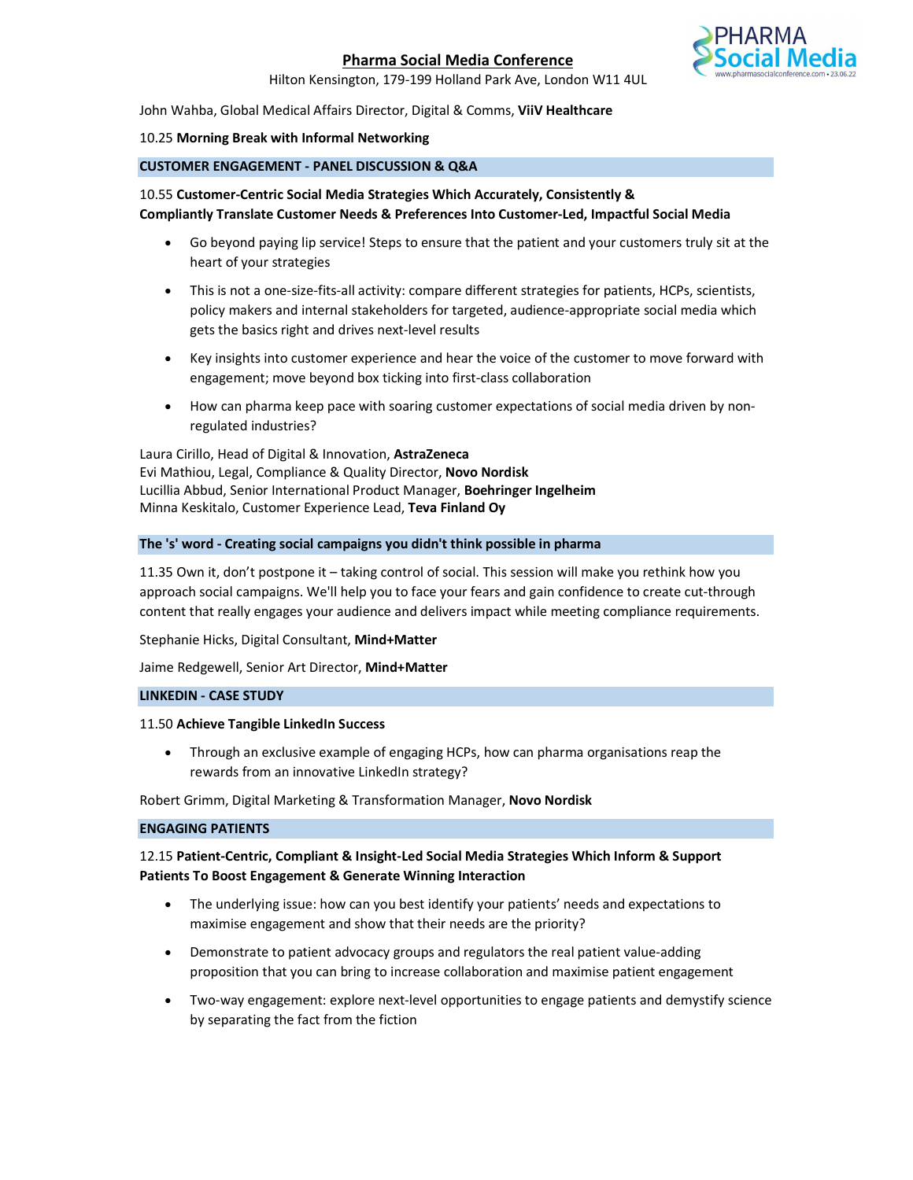

Hilton Kensington, 179-199 Holland Park Ave, London W11 4UL

### John Wahba, Global Medical Affairs Director, Digital & Comms, ViiV Healthcare

## 10.25 Morning Break with Informal Networking

# CUSTOMER ENGAGEMENT - PANEL DISCUSSION & Q&A

# 10.55 Customer-Centric Social Media Strategies Which Accurately, Consistently & Compliantly Translate Customer Needs & Preferences Into Customer-Led, Impactful Social Media

- Go beyond paying lip service! Steps to ensure that the patient and your customers truly sit at the heart of your strategies
- This is not a one-size-fits-all activity: compare different strategies for patients, HCPs, scientists, policy makers and internal stakeholders for targeted, audience-appropriate social media which gets the basics right and drives next-level results
- Key insights into customer experience and hear the voice of the customer to move forward with engagement; move beyond box ticking into first-class collaboration
- How can pharma keep pace with soaring customer expectations of social media driven by nonregulated industries?

Laura Cirillo, Head of Digital & Innovation, AstraZeneca Evi Mathiou, Legal, Compliance & Quality Director, Novo Nordisk Lucillia Abbud, Senior International Product Manager, Boehringer Ingelheim Minna Keskitalo, Customer Experience Lead, Teva Finland Oy

### The 's' word - Creating social campaigns you didn't think possible in pharma

11.35 Own it, don't postpone it – taking control of social. This session will make you rethink how you approach social campaigns. We'll help you to face your fears and gain confidence to create cut-through content that really engages your audience and delivers impact while meeting compliance requirements.

Stephanie Hicks, Digital Consultant, Mind+Matter

Jaime Redgewell, Senior Art Director, Mind+Matter

## LINKEDIN - CASE STUDY

### 11.50 Achieve Tangible LinkedIn Success

 Through an exclusive example of engaging HCPs, how can pharma organisations reap the rewards from an innovative LinkedIn strategy?

Robert Grimm, Digital Marketing & Transformation Manager, Novo Nordisk

## ENGAGING PATIENTS

# 12.15 Patient-Centric, Compliant & Insight-Led Social Media Strategies Which Inform & Support Patients To Boost Engagement & Generate Winning Interaction

- The underlying issue: how can you best identify your patients' needs and expectations to maximise engagement and show that their needs are the priority?
- Demonstrate to patient advocacy groups and regulators the real patient value-adding proposition that you can bring to increase collaboration and maximise patient engagement
- Two-way engagement: explore next-level opportunities to engage patients and demystify science by separating the fact from the fiction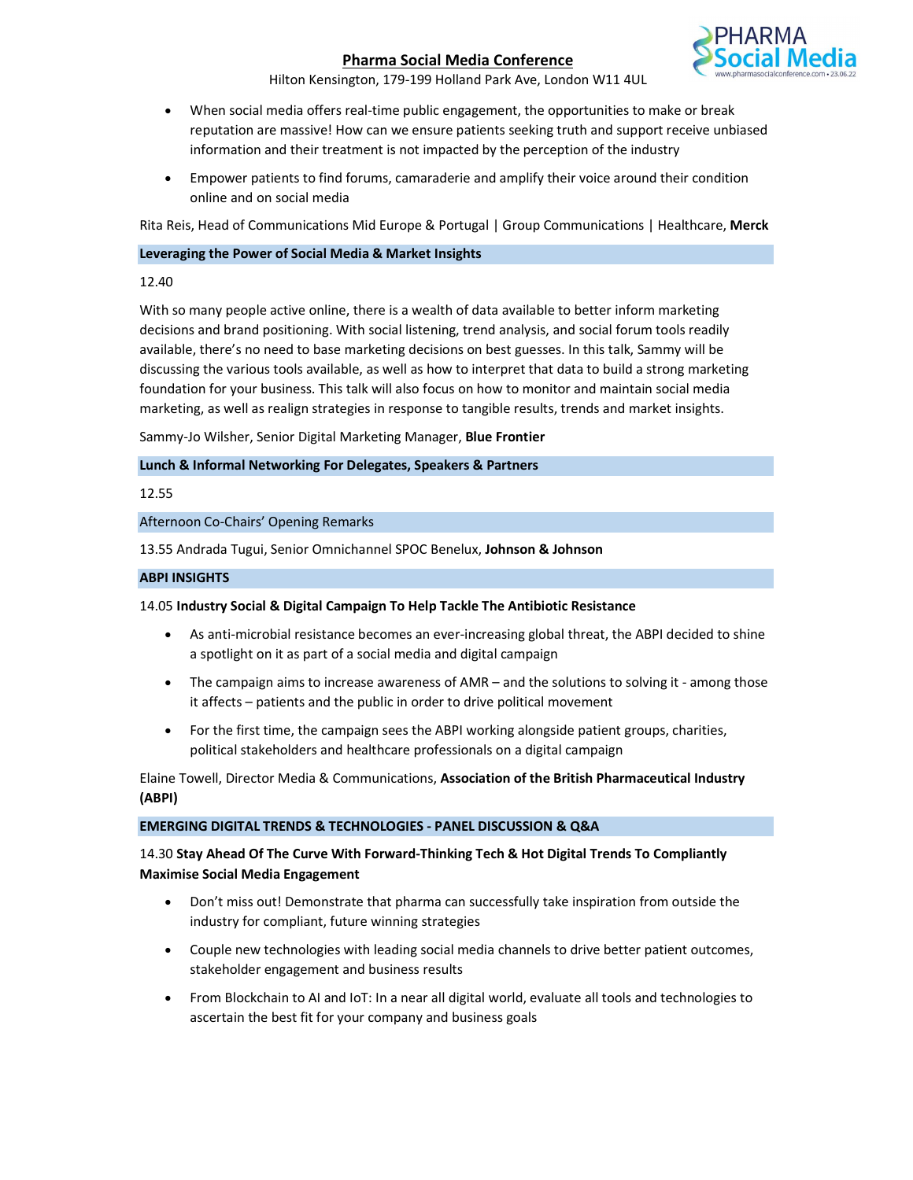

Hilton Kensington, 179-199 Holland Park Ave, London W11 4UL

- When social media offers real-time public engagement, the opportunities to make or break reputation are massive! How can we ensure patients seeking truth and support receive unbiased information and their treatment is not impacted by the perception of the industry
- Empower patients to find forums, camaraderie and amplify their voice around their condition online and on social media

Rita Reis, Head of Communications Mid Europe & Portugal | Group Communications | Healthcare, Merck

## Leveraging the Power of Social Media & Market Insights

### 12.40

With so many people active online, there is a wealth of data available to better inform marketing decisions and brand positioning. With social listening, trend analysis, and social forum tools readily available, there's no need to base marketing decisions on best guesses. In this talk, Sammy will be discussing the various tools available, as well as how to interpret that data to build a strong marketing foundation for your business. This talk will also focus on how to monitor and maintain social media marketing, as well as realign strategies in response to tangible results, trends and market insights.

Sammy-Jo Wilsher, Senior Digital Marketing Manager, Blue Frontier

# Lunch & Informal Networking For Delegates, Speakers & Partners

## 12.55

Afternoon Co-Chairs' Opening Remarks

13.55 Andrada Tugui, Senior Omnichannel SPOC Benelux, Johnson & Johnson

### ABPI INSIGHTS

### 14.05 Industry Social & Digital Campaign To Help Tackle The Antibiotic Resistance

- As anti-microbial resistance becomes an ever-increasing global threat, the ABPI decided to shine a spotlight on it as part of a social media and digital campaign
- The campaign aims to increase awareness of AMR and the solutions to solving it among those it affects – patients and the public in order to drive political movement
- For the first time, the campaign sees the ABPI working alongside patient groups, charities, political stakeholders and healthcare professionals on a digital campaign

# Elaine Towell, Director Media & Communications, Association of the British Pharmaceutical Industry (ABPI)

### EMERGING DIGITAL TRENDS & TECHNOLOGIES - PANEL DISCUSSION & Q&A

# 14.30 Stay Ahead Of The Curve With Forward-Thinking Tech & Hot Digital Trends To Compliantly Maximise Social Media Engagement

- Don't miss out! Demonstrate that pharma can successfully take inspiration from outside the industry for compliant, future winning strategies
- Couple new technologies with leading social media channels to drive better patient outcomes, stakeholder engagement and business results
- From Blockchain to AI and IoT: In a near all digital world, evaluate all tools and technologies to ascertain the best fit for your company and business goals